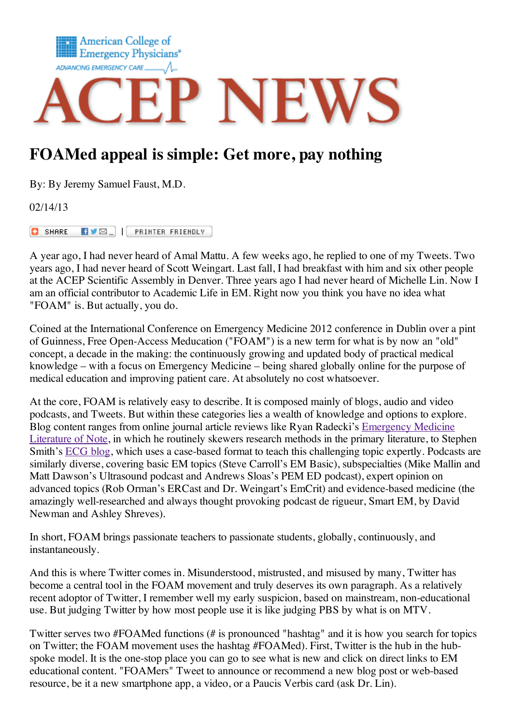

## **FOAMed appeal is simple: Get more, pay nothing**

By: By Jeremy Samuel Faust, M.D.

02/14/13

**EVEL | PRINTER FRIENDLY C** SHARE

A year ago, I had never heard of Amal Mattu. A few weeks ago, he replied to one of my Tweets. Two years ago, I had never heard of Scott Weingart. Last fall, I had breakfast with him and six other people at the ACEP Scientific Assembly in Denver. Three years ago I had never heard of Michelle Lin. Now I am an official contributor to Academic Life in EM. Right now you think you have no idea what "FOAM" is. But actually, you do.

Coined at the International Conference on Emergency Medicine 2012 conference in Dublin over a pint of Guinness, Free Open-Access Meducation ("FOAM") is a new term for what is by now an "old" concept, a decade in the making: the continuously growing and updated body of practical medical knowledge – with a focus on Emergency Medicine – being shared globally online for the purpose of medical education and improving patient care. At absolutely no cost whatsoever.

At the core, FOAM is relatively easy to describe. It is composed mainly of blogs, audio and video podcasts, and Tweets. But within these categories lies a wealth of knowledge and options to explore. Blog content ranges from online journal article reviews like Ryan Radecki's [Emergency](http://www.emlitofnote.com/) Medicine Literature of Note, in which he routinely skewers research methods in the primary literature, to Stephen Smith's [ECG](http://hqmeded-ecg.blogspot.com/) blog, which uses a case-based format to teach this challenging topic expertly. Podcasts are similarly diverse, covering basic EM topics (Steve Carroll's EM Basic), subspecialties (Mike Mallin and Matt Dawson's Ultrasound podcast and Andrews Sloas's PEM ED podcast), expert opinion on advanced topics (Rob Orman's ERCast and Dr. Weingart's EmCrit) and evidence-based medicine (the amazingly well-researched and always thought provoking podcast de rigueur, Smart EM, by David Newman and Ashley Shreves).

In short, FOAM brings passionate teachers to passionate students, globally, continuously, and instantaneously.

And this is where Twitter comes in. Misunderstood, mistrusted, and misused by many, Twitter has become a central tool in the FOAM movement and truly deserves its own paragraph. As a relatively recent adoptor of Twitter, I remember well my early suspicion, based on mainstream, non-educational use. But judging Twitter by how most people use it is like judging PBS by what is on MTV.

Twitter serves two #FOAMed functions (# is pronounced "hashtag" and it is how you search for topics on Twitter; the FOAM movement uses the hashtag #FOAMed). First, Twitter is the hub in the hubspoke model. It is the one-stop place you can go to see what is new and click on direct links to EM educational content. "FOAMers" Tweet to announce or recommend a new blog post or web-based resource, be it a new smartphone app, a video, or a Paucis Verbis card (ask Dr. Lin).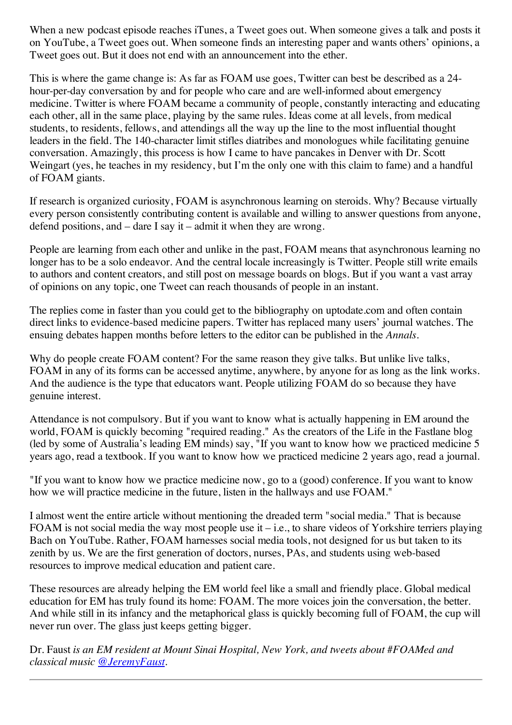When a new podcast episode reaches iTunes, a Tweet goes out. When someone gives a talk and posts it on YouTube, a Tweet goes out. When someone finds an interesting paper and wants others' opinions, a Tweet goes out. But it does not end with an announcement into the ether.

This is where the game change is: As far as FOAM use goes, Twitter can best be described as a 24 hour-per-day conversation by and for people who care and are well-informed about emergency medicine. Twitter is where FOAM became a community of people, constantly interacting and educating each other, all in the same place, playing by the same rules. Ideas come at all levels, from medical students, to residents, fellows, and attendings all the way up the line to the most influential thought leaders in the field. The 140-character limit stifles diatribes and monologues while facilitating genuine conversation. Amazingly, this process is how I came to have pancakes in Denver with Dr. Scott Weingart (yes, he teaches in my residency, but I'm the only one with this claim to fame) and a handful of FOAM giants.

If research is organized curiosity, FOAM is asynchronous learning on steroids. Why? Because virtually every person consistently contributing content is available and willing to answer questions from anyone, defend positions, and – dare I say it – admit it when they are wrong.

People are learning from each other and unlike in the past, FOAM means that asynchronous learning no longer has to be a solo endeavor. And the central locale increasingly is Twitter. People still write emails to authors and content creators, and still post on message boards on blogs. But if you want a vast array of opinions on any topic, one Tweet can reach thousands of people in an instant.

The replies come in faster than you could get to the bibliography on uptodate.com and often contain direct links to evidence-based medicine papers. Twitter has replaced many users' journal watches. The ensuing debates happen months before letters to the editor can be published in the *Annals*.

Why do people create FOAM content? For the same reason they give talks. But unlike live talks, FOAM in any of its forms can be accessed anytime, anywhere, by anyone for as long as the link works. And the audience is the type that educators want. People utilizing FOAM do so because they have genuine interest.

Attendance is not compulsory. But if you want to know what is actually happening in EM around the world, FOAM is quickly becoming "required reading." As the creators of the Life in the Fastlane blog (led by some of Australia's leading EM minds) say, "If you want to know how we practiced medicine 5 years ago, read a textbook. If you want to know how we practiced medicine 2 years ago, read a journal.

"If you want to know how we practice medicine now, go to a (good) conference. If you want to know how we will practice medicine in the future, listen in the hallways and use FOAM."

I almost went the entire article without mentioning the dreaded term "social media." That is because FOAM is not social media the way most people use it – i.e., to share videos of Yorkshire terriers playing Bach on YouTube. Rather, FOAM harnesses social media tools, not designed for us but taken to its zenith by us. We are the first generation of doctors, nurses, PAs, and students using web-based resources to improve medical education and patient care.

These resources are already helping the EM world feel like a small and friendly place. Global medical education for EM has truly found its home: FOAM. The more voices join the conversation, the better. And while still in its infancy and the metaphorical glass is quickly becoming full of FOAM, the cup will never run over. The glass just keeps getting bigger.

Dr. Faust *is an EM resident at Mount Sinai Hospital, New York, and tweets about #FOAMed and classical music [@JeremyFaust](http://www.twitter.com/jeremyfaust).*